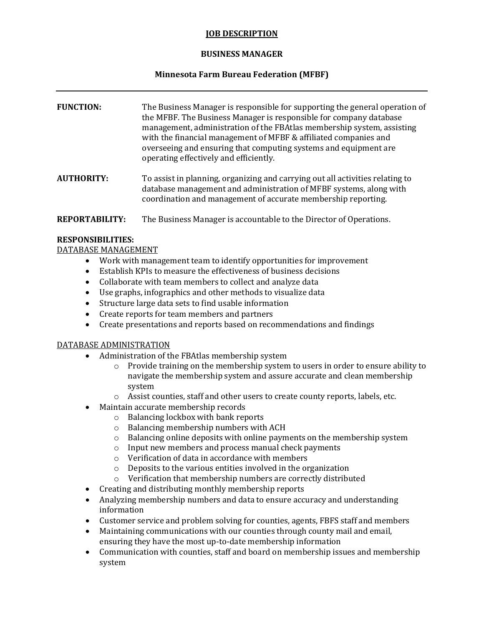#### **JOB DESCRIPTION**

## **BUSINESS MANAGER**

# **Minnesota Farm Bureau Federation (MFBF)**

| <b>FUNCTION:</b>  | The Business Manager is responsible for supporting the general operation of<br>the MFBF. The Business Manager is responsible for company database<br>management, administration of the FBAtlas membership system, assisting<br>with the financial management of MFBF & affiliated companies and<br>overseeing and ensuring that computing systems and equipment are<br>operating effectively and efficiently. |
|-------------------|---------------------------------------------------------------------------------------------------------------------------------------------------------------------------------------------------------------------------------------------------------------------------------------------------------------------------------------------------------------------------------------------------------------|
| <b>AUTHORITY:</b> | To assist in planning, organizing and carrying out all activities relating to<br>database management and administration of MFBF systems, along with<br>coordination and management of accurate membership reporting.                                                                                                                                                                                          |
|                   |                                                                                                                                                                                                                                                                                                                                                                                                               |

**REPORTABILITY:** The Business Manager is accountable to the Director of Operations.

### **RESPONSIBILITIES:**

DATABASE MANAGEMENT

- Work with management team to identify opportunities for improvement
- Establish KPIs to measure the effectiveness of business decisions
- Collaborate with team members to collect and analyze data
- Use graphs, infographics and other methods to visualize data
- Structure large data sets to find usable information
- Create reports for team members and partners
- Create presentations and reports based on recommendations and findings

### DATABASE ADMINISTRATION

- Administration of the FBAtlas membership system
	- $\circ$  Provide training on the membership system to users in order to ensure ability to navigate the membership system and assure accurate and clean membership system
	- o Assist counties, staff and other users to create county reports, labels, etc.
- Maintain accurate membership records
	- o Balancing lockbox with bank reports
	- o Balancing membership numbers with ACH
	- o Balancing online deposits with online payments on the membership system
	- o Input new members and process manual check payments
	- o Verification of data in accordance with members
	- o Deposits to the various entities involved in the organization
	- o Verification that membership numbers are correctly distributed
- Creating and distributing monthly membership reports
- Analyzing membership numbers and data to ensure accuracy and understanding information
- Customer service and problem solving for counties, agents, FBFS staff and members
- Maintaining communications with our counties through county mail and email, ensuring they have the most up-to-date membership information
- Communication with counties, staff and board on membership issues and membership system